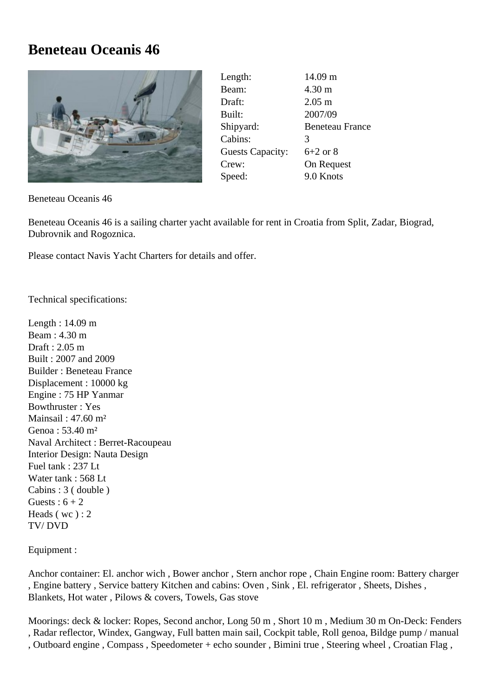## **Beneteau Oceanis 46**



| Length:                 | 14.09 m                |
|-------------------------|------------------------|
| Beam:                   | $4.30 \text{ m}$       |
| Draft:                  | $2.05 \text{ m}$       |
| Built:                  | 2007/09                |
| Shipyard:               | <b>Beneteau France</b> |
| Cabins:                 | 3                      |
| <b>Guests Capacity:</b> | $6+2$ or 8             |
| Crew:                   | On Request             |
| Speed:                  | 9.0 Knots              |

Beneteau Oceanis 46

Beneteau Oceanis 46 is a sailing charter yacht available for rent in Croatia from Split, Zadar, Biograd, Dubrovnik and Rogoznica.

Please contact Navis Yacht Charters for details and offer.

Technical specifications:

Length : 14.09 m Beam  $\cdot$  4.30 m Draft : 2.05 m Built : 2007 and 2009 Builder : Beneteau France Displacement : 10000 kg Engine : 75 HP Yanmar Bowthruster : Yes Mainsail : 47.60 m² Genoa : 53.40 m² Naval Architect : Berret-Racoupeau Interior Design: Nauta Design Fuel tank : 237 Lt Water tank : 568 Lt Cabins : 3 ( double ) Guests :  $6 + 2$ Heads ( wc ) : 2 TV/ DVD

Equipment :

Anchor container: El. anchor wich , Bower anchor , Stern anchor rope , Chain Engine room: Battery charger , Engine battery , Service battery Kitchen and cabins: Oven , Sink , El. refrigerator , Sheets, Dishes , Blankets, Hot water , Pilows & covers, Towels, Gas stove

Moorings: deck & locker: Ropes, Second anchor, Long 50 m , Short 10 m , Medium 30 m On-Deck: Fenders , Radar reflector, Windex, Gangway, Full batten main sail, Cockpit table, Roll genoa, Bildge pump / manual

, Outboard engine , Compass , Speedometer + echo sounder , Bimini true , Steering wheel , Croatian Flag ,